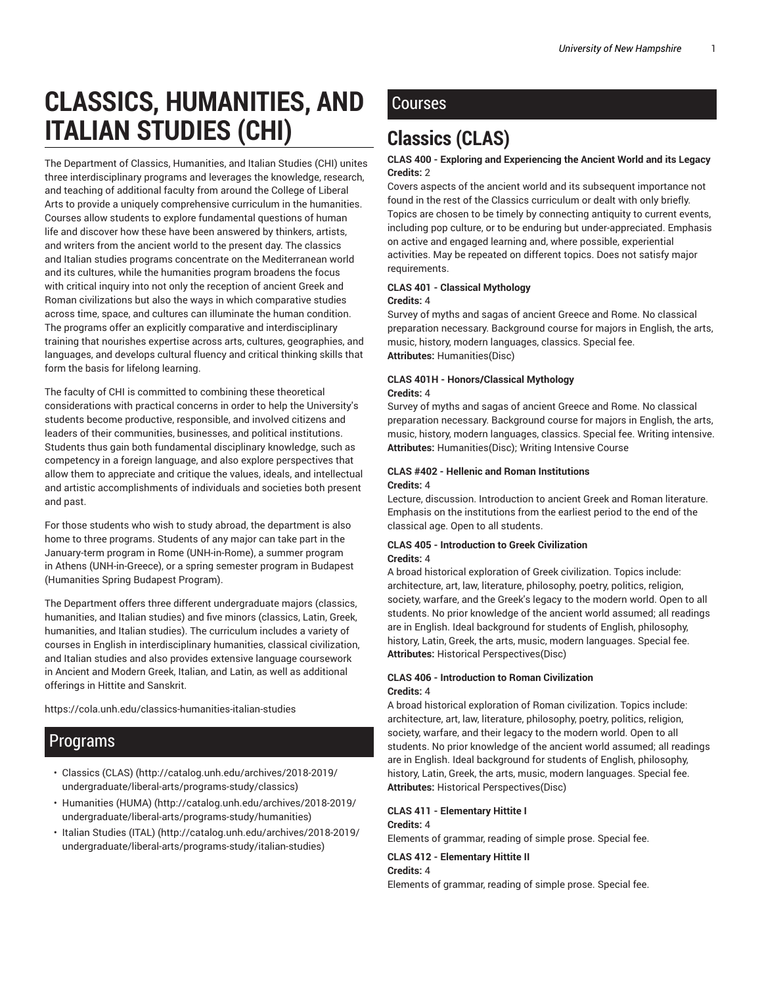# **CLASSICS, HUMANITIES, AND ITALIAN STUDIES (CHI)**

The Department of Classics, Humanities, and Italian Studies (CHI) unites three interdisciplinary programs and leverages the knowledge, research, and teaching of additional faculty from around the College of Liberal Arts to provide a uniquely comprehensive curriculum in the humanities. Courses allow students to explore fundamental questions of human life and discover how these have been answered by thinkers, artists, and writers from the ancient world to the present day. The classics and Italian studies programs concentrate on the Mediterranean world and its cultures, while the humanities program broadens the focus with critical inquiry into not only the reception of ancient Greek and Roman civilizations but also the ways in which comparative studies across time, space, and cultures can illuminate the human condition. The programs offer an explicitly comparative and interdisciplinary training that nourishes expertise across arts, cultures, geographies, and languages, and develops cultural fluency and critical thinking skills that form the basis for lifelong learning.

The faculty of CHI is committed to combining these theoretical considerations with practical concerns in order to help the University's students become productive, responsible, and involved citizens and leaders of their communities, businesses, and political institutions. Students thus gain both fundamental disciplinary knowledge, such as competency in a foreign language, and also explore perspectives that allow them to appreciate and critique the values, ideals, and intellectual and artistic accomplishments of individuals and societies both present and past.

For those students who wish to study abroad, the department is also home to three programs. Students of any major can take part in the January-term program in Rome (UNH-in-Rome), a summer program in Athens (UNH-in-Greece), or a spring semester program in Budapest (Humanities Spring Budapest Program).

The Department offers three different undergraduate majors (classics, humanities, and Italian studies) and five minors (classics, Latin, Greek, humanities, and Italian studies). The curriculum includes a variety of courses in English in interdisciplinary humanities, classical civilization, and Italian studies and also provides extensive language coursework in Ancient and Modern Greek, Italian, and Latin, as well as additional offerings in Hittite and Sanskrit.

https://cola.unh.edu/classics-humanities-italian-studies

# Programs

- Classics (CLAS) (http://catalog.unh.edu/archives/2018-2019/ undergraduate/liberal-arts/programs-study/classics)
- Humanities (HUMA) (http://catalog.unh.edu/archives/2018-2019/ undergraduate/liberal-arts/programs-study/humanities)
- Italian Studies (ITAL) (http://catalog.unh.edu/archives/2018-2019/ undergraduate/liberal-arts/programs-study/italian-studies)

# Courses

# **Classics (CLAS)**

# **CLAS 400 - Exploring and Experiencing the Ancient World and its Legacy Credits:** 2

Covers aspects of the ancient world and its subsequent importance not found in the rest of the Classics curriculum or dealt with only briefly. Topics are chosen to be timely by connecting antiquity to current events, including pop culture, or to be enduring but under-appreciated. Emphasis on active and engaged learning and, where possible, experiential activities. May be repeated on different topics. Does not satisfy major requirements.

# **CLAS 401 - Classical Mythology**

### **Credits:** 4

Survey of myths and sagas of ancient Greece and Rome. No classical preparation necessary. Background course for majors in English, the arts, music, history, modern languages, classics. Special fee. **Attributes:** Humanities(Disc)

# **CLAS 401H - Honors/Classical Mythology Credits:** 4

Survey of myths and sagas of ancient Greece and Rome. No classical preparation necessary. Background course for majors in English, the arts, music, history, modern languages, classics. Special fee. Writing intensive. **Attributes:** Humanities(Disc); Writing Intensive Course

# **CLAS #402 - Hellenic and Roman Institutions Credits:** 4

Lecture, discussion. Introduction to ancient Greek and Roman literature. Emphasis on the institutions from the earliest period to the end of the classical age. Open to all students.

# **CLAS 405 - Introduction to Greek Civilization Credits:** 4

A broad historical exploration of Greek civilization. Topics include: architecture, art, law, literature, philosophy, poetry, politics, religion, society, warfare, and the Greek's legacy to the modern world. Open to all students. No prior knowledge of the ancient world assumed; all readings are in English. Ideal background for students of English, philosophy, history, Latin, Greek, the arts, music, modern languages. Special fee. **Attributes:** Historical Perspectives(Disc)

# **CLAS 406 - Introduction to Roman Civilization Credits:** 4

A broad historical exploration of Roman civilization. Topics include: architecture, art, law, literature, philosophy, poetry, politics, religion, society, warfare, and their legacy to the modern world. Open to all students. No prior knowledge of the ancient world assumed; all readings are in English. Ideal background for students of English, philosophy, history, Latin, Greek, the arts, music, modern languages. Special fee. **Attributes:** Historical Perspectives(Disc)

# **CLAS 411 - Elementary Hittite I Credits:** 4

Elements of grammar, reading of simple prose. Special fee.

# **CLAS 412 - Elementary Hittite II**

#### **Credits:** 4

Elements of grammar, reading of simple prose. Special fee.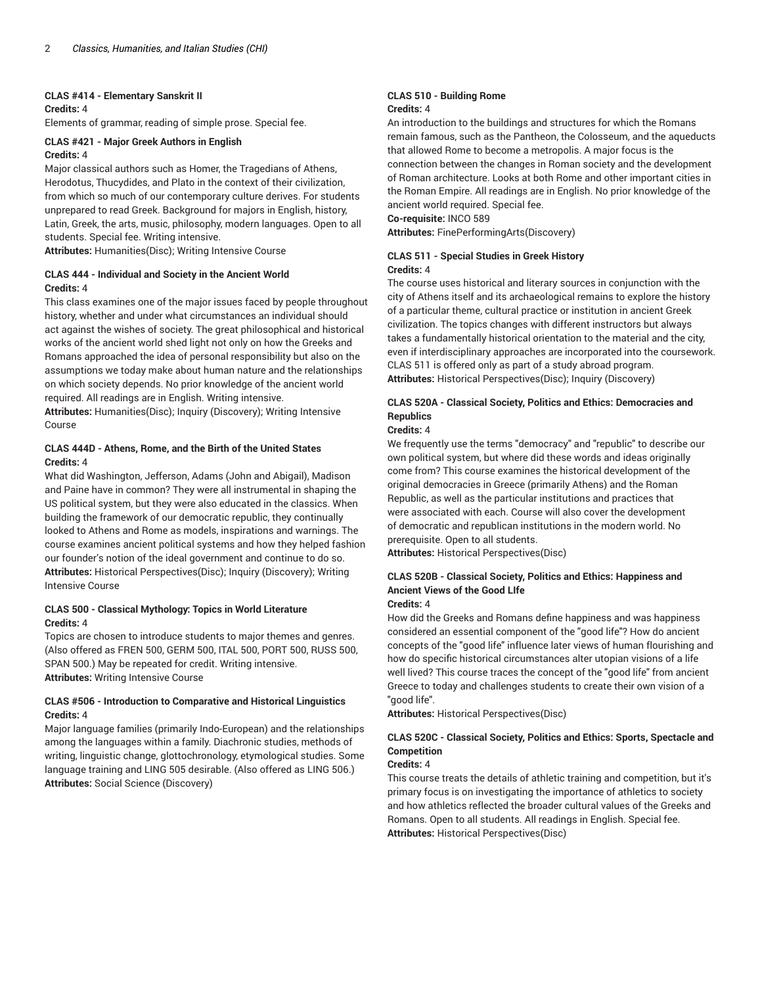#### **CLAS #414 - Elementary Sanskrit II**

# **Credits:** 4

Elements of grammar, reading of simple prose. Special fee.

# **CLAS #421 - Major Greek Authors in English Credits:** 4

Major classical authors such as Homer, the Tragedians of Athens, Herodotus, Thucydides, and Plato in the context of their civilization, from which so much of our contemporary culture derives. For students unprepared to read Greek. Background for majors in English, history, Latin, Greek, the arts, music, philosophy, modern languages. Open to all students. Special fee. Writing intensive.

**Attributes:** Humanities(Disc); Writing Intensive Course

# **CLAS 444 - Individual and Society in the Ancient World Credits:** 4

This class examines one of the major issues faced by people throughout history, whether and under what circumstances an individual should act against the wishes of society. The great philosophical and historical works of the ancient world shed light not only on how the Greeks and Romans approached the idea of personal responsibility but also on the assumptions we today make about human nature and the relationships on which society depends. No prior knowledge of the ancient world required. All readings are in English. Writing intensive. **Attributes:** Humanities(Disc); Inquiry (Discovery); Writing Intensive Course

### **CLAS 444D - Athens, Rome, and the Birth of the United States Credits:** 4

What did Washington, Jefferson, Adams (John and Abigail), Madison and Paine have in common? They were all instrumental in shaping the US political system, but they were also educated in the classics. When building the framework of our democratic republic, they continually looked to Athens and Rome as models, inspirations and warnings. The course examines ancient political systems and how they helped fashion our founder's notion of the ideal government and continue to do so. **Attributes:** Historical Perspectives(Disc); Inquiry (Discovery); Writing Intensive Course

### **CLAS 500 - Classical Mythology: Topics in World Literature Credits:** 4

Topics are chosen to introduce students to major themes and genres. (Also offered as FREN 500, GERM 500, ITAL 500, PORT 500, RUSS 500, SPAN 500.) May be repeated for credit. Writing intensive. **Attributes:** Writing Intensive Course

### **CLAS #506 - Introduction to Comparative and Historical Linguistics Credits:** 4

Major language families (primarily Indo-European) and the relationships among the languages within a family. Diachronic studies, methods of writing, linguistic change, glottochronology, etymological studies. Some language training and LING 505 desirable. (Also offered as LING 506.) **Attributes:** Social Science (Discovery)

#### **CLAS 510 - Building Rome Credits:** 4

An introduction to the buildings and structures for which the Romans remain famous, such as the Pantheon, the Colosseum, and the aqueducts that allowed Rome to become a metropolis. A major focus is the connection between the changes in Roman society and the development of Roman architecture. Looks at both Rome and other important cities in the Roman Empire. All readings are in English. No prior knowledge of the ancient world required. Special fee.

# **Co-requisite:** INCO 589

**Attributes:** FinePerformingArts(Discovery)

#### **CLAS 511 - Special Studies in Greek History Credits:** 4

The course uses historical and literary sources in conjunction with the city of Athens itself and its archaeological remains to explore the history of a particular theme, cultural practice or institution in ancient Greek civilization. The topics changes with different instructors but always takes a fundamentally historical orientation to the material and the city, even if interdisciplinary approaches are incorporated into the coursework. CLAS 511 is offered only as part of a study abroad program. **Attributes:** Historical Perspectives(Disc); Inquiry (Discovery)

# **CLAS 520A - Classical Society, Politics and Ethics: Democracies and Republics**

#### **Credits:** 4

We frequently use the terms "democracy" and "republic" to describe our own political system, but where did these words and ideas originally come from? This course examines the historical development of the original democracies in Greece (primarily Athens) and the Roman Republic, as well as the particular institutions and practices that were associated with each. Course will also cover the development of democratic and republican institutions in the modern world. No prerequisite. Open to all students.

**Attributes:** Historical Perspectives(Disc)

# **CLAS 520B - Classical Society, Politics and Ethics: Happiness and Ancient Views of the Good LIfe**

# **Credits:** 4

How did the Greeks and Romans define happiness and was happiness considered an essential component of the "good life"? How do ancient concepts of the "good life" influence later views of human flourishing and how do specific historical circumstances alter utopian visions of a life well lived? This course traces the concept of the "good life" from ancient Greece to today and challenges students to create their own vision of a "good life".

**Attributes:** Historical Perspectives(Disc)

# **CLAS 520C - Classical Society, Politics and Ethics: Sports, Spectacle and Competition**

### **Credits:** 4

This course treats the details of athletic training and competition, but it's primary focus is on investigating the importance of athletics to society and how athletics reflected the broader cultural values of the Greeks and Romans. Open to all students. All readings in English. Special fee. **Attributes:** Historical Perspectives(Disc)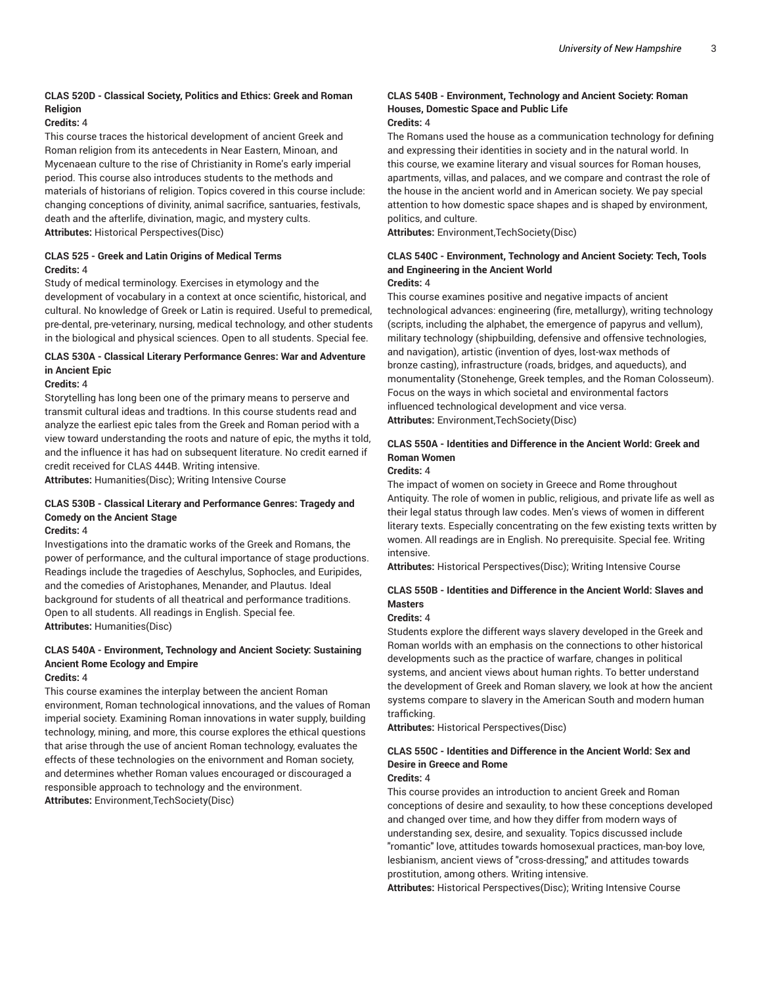# **CLAS 520D - Classical Society, Politics and Ethics: Greek and Roman Religion**

# **Credits:** 4

This course traces the historical development of ancient Greek and Roman religion from its antecedents in Near Eastern, Minoan, and Mycenaean culture to the rise of Christianity in Rome's early imperial period. This course also introduces students to the methods and materials of historians of religion. Topics covered in this course include: changing conceptions of divinity, animal sacrifice, santuaries, festivals, death and the afterlife, divination, magic, and mystery cults. **Attributes:** Historical Perspectives(Disc)

### **CLAS 525 - Greek and Latin Origins of Medical Terms Credits:** 4

Study of medical terminology. Exercises in etymology and the development of vocabulary in a context at once scientific, historical, and cultural. No knowledge of Greek or Latin is required. Useful to premedical, pre-dental, pre-veterinary, nursing, medical technology, and other students in the biological and physical sciences. Open to all students. Special fee.

# **CLAS 530A - Classical Literary Performance Genres: War and Adventure in Ancient Epic**

#### **Credits:** 4

Storytelling has long been one of the primary means to perserve and transmit cultural ideas and tradtions. In this course students read and analyze the earliest epic tales from the Greek and Roman period with a view toward understanding the roots and nature of epic, the myths it told, and the influence it has had on subsequent literature. No credit earned if credit received for CLAS 444B. Writing intensive.

**Attributes:** Humanities(Disc); Writing Intensive Course

# **CLAS 530B - Classical Literary and Performance Genres: Tragedy and Comedy on the Ancient Stage**

#### **Credits:** 4

Investigations into the dramatic works of the Greek and Romans, the power of performance, and the cultural importance of stage productions. Readings include the tragedies of Aeschylus, Sophocles, and Euripides, and the comedies of Aristophanes, Menander, and Plautus. Ideal background for students of all theatrical and performance traditions. Open to all students. All readings in English. Special fee. **Attributes:** Humanities(Disc)

# **CLAS 540A - Environment, Technology and Ancient Society: Sustaining Ancient Rome Ecology and Empire**

# **Credits:** 4

This course examines the interplay between the ancient Roman environment, Roman technological innovations, and the values of Roman imperial society. Examining Roman innovations in water supply, building technology, mining, and more, this course explores the ethical questions that arise through the use of ancient Roman technology, evaluates the effects of these technologies on the enivornment and Roman society, and determines whether Roman values encouraged or discouraged a responsible approach to technology and the environment. **Attributes:** Environment,TechSociety(Disc)

# **CLAS 540B - Environment, Technology and Ancient Society: Roman Houses, Domestic Space and Public Life**

#### **Credits:** 4

The Romans used the house as a communication technology for defining and expressing their identities in society and in the natural world. In this course, we examine literary and visual sources for Roman houses, apartments, villas, and palaces, and we compare and contrast the role of the house in the ancient world and in American society. We pay special attention to how domestic space shapes and is shaped by environment, politics, and culture.

**Attributes:** Environment,TechSociety(Disc)

#### **CLAS 540C - Environment, Technology and Ancient Society: Tech, Tools and Engineering in the Ancient World Credits:** 4

This course examines positive and negative impacts of ancient technological advances: engineering (fire, metallurgy), writing technology (scripts, including the alphabet, the emergence of papyrus and vellum), military technology (shipbuilding, defensive and offensive technologies, and navigation), artistic (invention of dyes, lost-wax methods of bronze casting), infrastructure (roads, bridges, and aqueducts), and monumentality (Stonehenge, Greek temples, and the Roman Colosseum). Focus on the ways in which societal and environmental factors influenced technological development and vice versa. **Attributes:** Environment,TechSociety(Disc)

# **CLAS 550A - Identities and Difference in the Ancient World: Greek and Roman Women**

#### **Credits:** 4

The impact of women on society in Greece and Rome throughout Antiquity. The role of women in public, religious, and private life as well as their legal status through law codes. Men's views of women in different literary texts. Especially concentrating on the few existing texts written by women. All readings are in English. No prerequisite. Special fee. Writing intensive.

**Attributes:** Historical Perspectives(Disc); Writing Intensive Course

# **CLAS 550B - Identities and Difference in the Ancient World: Slaves and Masters**

#### **Credits:** 4

Students explore the different ways slavery developed in the Greek and Roman worlds with an emphasis on the connections to other historical developments such as the practice of warfare, changes in political systems, and ancient views about human rights. To better understand the development of Greek and Roman slavery, we look at how the ancient systems compare to slavery in the American South and modern human trafficking.

**Attributes:** Historical Perspectives(Disc)

# **CLAS 550C - Identities and Difference in the Ancient World: Sex and Desire in Greece and Rome**

# **Credits:** 4

This course provides an introduction to ancient Greek and Roman conceptions of desire and sexaulity, to how these conceptions developed and changed over time, and how they differ from modern ways of understanding sex, desire, and sexuality. Topics discussed include "romantic" love, attitudes towards homosexual practices, man-boy love, lesbianism, ancient views of "cross-dressing," and attitudes towards prostitution, among others. Writing intensive.

**Attributes:** Historical Perspectives(Disc); Writing Intensive Course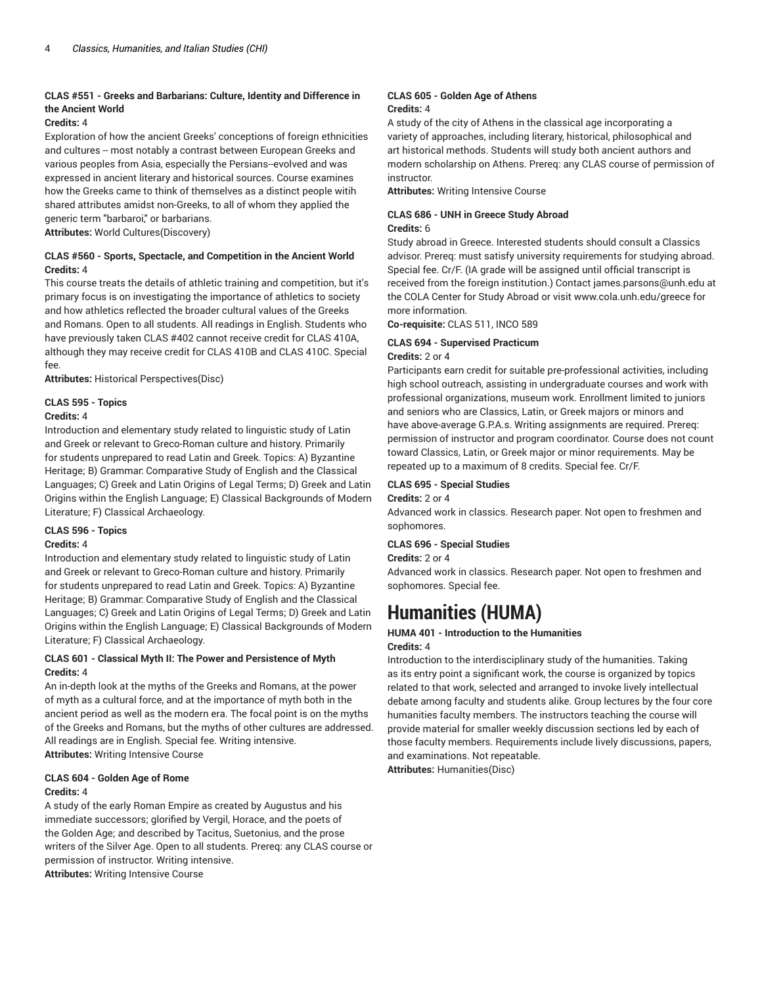# **CLAS #551 - Greeks and Barbarians: Culture, Identity and Difference in the Ancient World**

#### **Credits:** 4

Exploration of how the ancient Greeks' conceptions of foreign ethnicities and cultures -- most notably a contrast between European Greeks and various peoples from Asia, especially the Persians--evolved and was expressed in ancient literary and historical sources. Course examines how the Greeks came to think of themselves as a distinct people witih shared attributes amidst non-Greeks, to all of whom they applied the generic term "barbaroi," or barbarians.

**Attributes:** World Cultures(Discovery)

### **CLAS #560 - Sports, Spectacle, and Competition in the Ancient World Credits:** 4

This course treats the details of athletic training and competition, but it's primary focus is on investigating the importance of athletics to society and how athletics reflected the broader cultural values of the Greeks and Romans. Open to all students. All readings in English. Students who have previously taken CLAS #402 cannot receive credit for CLAS 410A, although they may receive credit for CLAS 410B and CLAS 410C. Special fee.

**Attributes:** Historical Perspectives(Disc)

# **CLAS 595 - Topics**

#### **Credits:** 4

Introduction and elementary study related to linguistic study of Latin and Greek or relevant to Greco-Roman culture and history. Primarily for students unprepared to read Latin and Greek. Topics: A) Byzantine Heritage; B) Grammar: Comparative Study of English and the Classical Languages; C) Greek and Latin Origins of Legal Terms; D) Greek and Latin Origins within the English Language; E) Classical Backgrounds of Modern Literature; F) Classical Archaeology.

# **CLAS 596 - Topics**

# **Credits:** 4

Introduction and elementary study related to linguistic study of Latin and Greek or relevant to Greco-Roman culture and history. Primarily for students unprepared to read Latin and Greek. Topics: A) Byzantine Heritage; B) Grammar: Comparative Study of English and the Classical Languages; C) Greek and Latin Origins of Legal Terms; D) Greek and Latin Origins within the English Language; E) Classical Backgrounds of Modern Literature; F) Classical Archaeology.

# **CLAS 601 - Classical Myth II: The Power and Persistence of Myth Credits:** 4

An in-depth look at the myths of the Greeks and Romans, at the power of myth as a cultural force, and at the importance of myth both in the ancient period as well as the modern era. The focal point is on the myths of the Greeks and Romans, but the myths of other cultures are addressed. All readings are in English. Special fee. Writing intensive. **Attributes:** Writing Intensive Course

# **CLAS 604 - Golden Age of Rome Credits:** 4

A study of the early Roman Empire as created by Augustus and his immediate successors; glorified by Vergil, Horace, and the poets of the Golden Age; and described by Tacitus, Suetonius, and the prose writers of the Silver Age. Open to all students. Prereq: any CLAS course or permission of instructor. Writing intensive. **Attributes:** Writing Intensive Course

#### **CLAS 605 - Golden Age of Athens Credits:** 4

A study of the city of Athens in the classical age incorporating a variety of approaches, including literary, historical, philosophical and art historical methods. Students will study both ancient authors and modern scholarship on Athens. Prereq: any CLAS course of permission of instructor.

**Attributes:** Writing Intensive Course

#### **CLAS 686 - UNH in Greece Study Abroad Credits:** 6

Study abroad in Greece. Interested students should consult a Classics advisor. Prereq: must satisfy university requirements for studying abroad. Special fee. Cr/F. (IA grade will be assigned until official transcript is received from the foreign institution.) Contact james.parsons@unh.edu at the COLA Center for Study Abroad or visit www.cola.unh.edu/greece for more information.

**Co-requisite:** CLAS 511, INCO 589

#### **CLAS 694 - Supervised Practicum Credits:** 2 or 4

Participants earn credit for suitable pre-professional activities, including high school outreach, assisting in undergraduate courses and work with professional organizations, museum work. Enrollment limited to juniors and seniors who are Classics, Latin, or Greek majors or minors and have above-average G.P.A.s. Writing assignments are required. Prereq: permission of instructor and program coordinator. Course does not count toward Classics, Latin, or Greek major or minor requirements. May be repeated up to a maximum of 8 credits. Special fee. Cr/F.

# **CLAS 695 - Special Studies**

# **Credits:** 2 or 4

Advanced work in classics. Research paper. Not open to freshmen and sophomores.

#### **CLAS 696 - Special Studies**

**Credits:** 2 or 4

Advanced work in classics. Research paper. Not open to freshmen and sophomores. Special fee.

# **Humanities (HUMA)**

# **HUMA 401 - Introduction to the Humanities**

#### **Credits:** 4

Introduction to the interdisciplinary study of the humanities. Taking as its entry point a significant work, the course is organized by topics related to that work, selected and arranged to invoke lively intellectual debate among faculty and students alike. Group lectures by the four core humanities faculty members. The instructors teaching the course will provide material for smaller weekly discussion sections led by each of those faculty members. Requirements include lively discussions, papers, and examinations. Not repeatable.

**Attributes:** Humanities(Disc)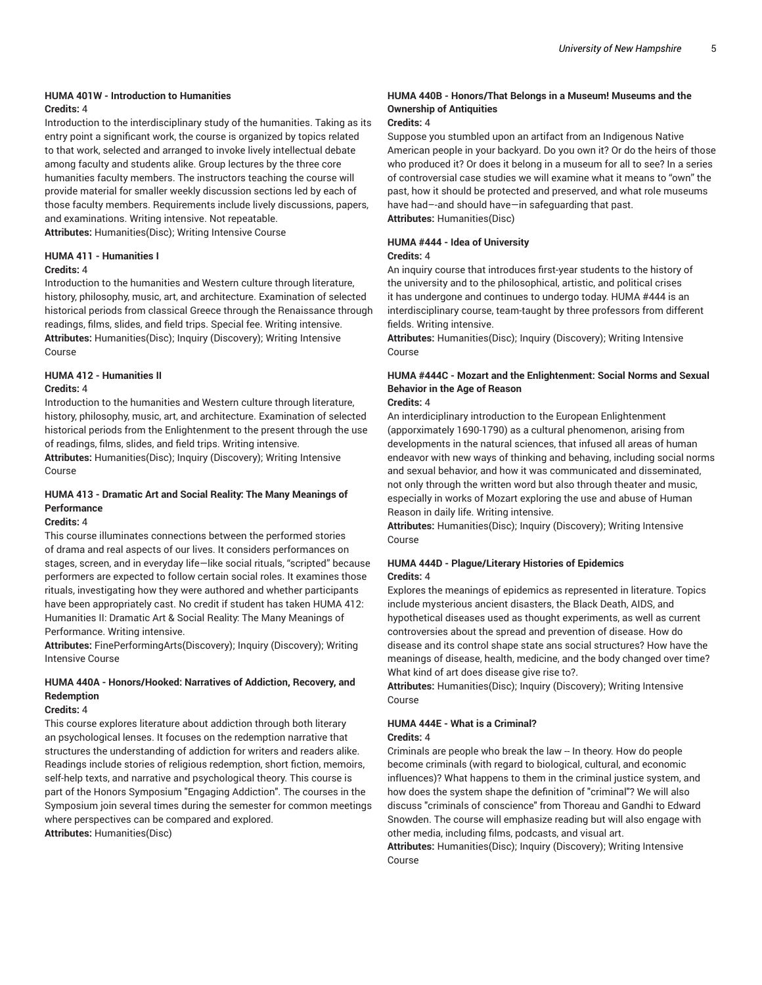#### **HUMA 401W - Introduction to Humanities Credits:** 4

Introduction to the interdisciplinary study of the humanities. Taking as its entry point a significant work, the course is organized by topics related to that work, selected and arranged to invoke lively intellectual debate among faculty and students alike. Group lectures by the three core humanities faculty members. The instructors teaching the course will provide material for smaller weekly discussion sections led by each of those faculty members. Requirements include lively discussions, papers, and examinations. Writing intensive. Not repeatable.

**Attributes:** Humanities(Disc); Writing Intensive Course

# **HUMA 411 - Humanities I**

#### **Credits:** 4

Introduction to the humanities and Western culture through literature, history, philosophy, music, art, and architecture. Examination of selected historical periods from classical Greece through the Renaissance through readings, films, slides, and field trips. Special fee. Writing intensive. **Attributes:** Humanities(Disc); Inquiry (Discovery); Writing Intensive Course

# **HUMA 412 - Humanities II**

#### **Credits:** 4

Introduction to the humanities and Western culture through literature, history, philosophy, music, art, and architecture. Examination of selected historical periods from the Enlightenment to the present through the use of readings, films, slides, and field trips. Writing intensive.

**Attributes:** Humanities(Disc); Inquiry (Discovery); Writing Intensive Course

# **HUMA 413 - Dramatic Art and Social Reality: The Many Meanings of Performance**

#### **Credits:** 4

This course illuminates connections between the performed stories of drama and real aspects of our lives. It considers performances on stages, screen, and in everyday life—like social rituals, "scripted" because performers are expected to follow certain social roles. It examines those rituals, investigating how they were authored and whether participants have been appropriately cast. No credit if student has taken HUMA 412: Humanities II: Dramatic Art & Social Reality: The Many Meanings of Performance. Writing intensive.

**Attributes:** FinePerformingArts(Discovery); Inquiry (Discovery); Writing Intensive Course

# **HUMA 440A - Honors/Hooked: Narratives of Addiction, Recovery, and Redemption**

# **Credits:** 4

This course explores literature about addiction through both literary an psychological lenses. It focuses on the redemption narrative that structures the understanding of addiction for writers and readers alike. Readings include stories of religious redemption, short fiction, memoirs, self-help texts, and narrative and psychological theory. This course is part of the Honors Symposium "Engaging Addiction". The courses in the Symposium join several times during the semester for common meetings where perspectives can be compared and explored.

**Attributes:** Humanities(Disc)

#### **HUMA 440B - Honors/That Belongs in a Museum! Museums and the Ownership of Antiquities**

#### **Credits:** 4

Suppose you stumbled upon an artifact from an Indigenous Native American people in your backyard. Do you own it? Or do the heirs of those who produced it? Or does it belong in a museum for all to see? In a series of controversial case studies we will examine what it means to "own" the past, how it should be protected and preserved, and what role museums have had–-and should have—in safeguarding that past. **Attributes:** Humanities(Disc)

#### **HUMA #444 - Idea of University**

#### **Credits:** 4

An inquiry course that introduces first-year students to the history of the university and to the philosophical, artistic, and political crises it has undergone and continues to undergo today. HUMA #444 is an interdisciplinary course, team-taught by three professors from different fields. Writing intensive.

**Attributes:** Humanities(Disc); Inquiry (Discovery); Writing Intensive Course

# **HUMA #444C - Mozart and the Enlightenment: Social Norms and Sexual Behavior in the Age of Reason**

#### **Credits:** 4

An interdiciplinary introduction to the European Enlightenment (apporximately 1690-1790) as a cultural phenomenon, arising from developments in the natural sciences, that infused all areas of human endeavor with new ways of thinking and behaving, including social norms and sexual behavior, and how it was communicated and disseminated, not only through the written word but also through theater and music, especially in works of Mozart exploring the use and abuse of Human Reason in daily life. Writing intensive.

**Attributes:** Humanities(Disc); Inquiry (Discovery); Writing Intensive Course

#### **HUMA 444D - Plague/Literary Histories of Epidemics Credits:** 4

Explores the meanings of epidemics as represented in literature. Topics include mysterious ancient disasters, the Black Death, AIDS, and hypothetical diseases used as thought experiments, as well as current controversies about the spread and prevention of disease. How do disease and its control shape state ans social structures? How have the meanings of disease, health, medicine, and the body changed over time? What kind of art does disease give rise to?.

**Attributes:** Humanities(Disc); Inquiry (Discovery); Writing Intensive Course

#### **HUMA 444E - What is a Criminal? Credits:** 4

Criminals are people who break the law -- In theory. How do people become criminals (with regard to biological, cultural, and economic influences)? What happens to them in the criminal justice system, and how does the system shape the definition of "criminal"? We will also discuss "criminals of conscience" from Thoreau and Gandhi to Edward Snowden. The course will emphasize reading but will also engage with other media, including films, podcasts, and visual art.

**Attributes:** Humanities(Disc); Inquiry (Discovery); Writing Intensive Course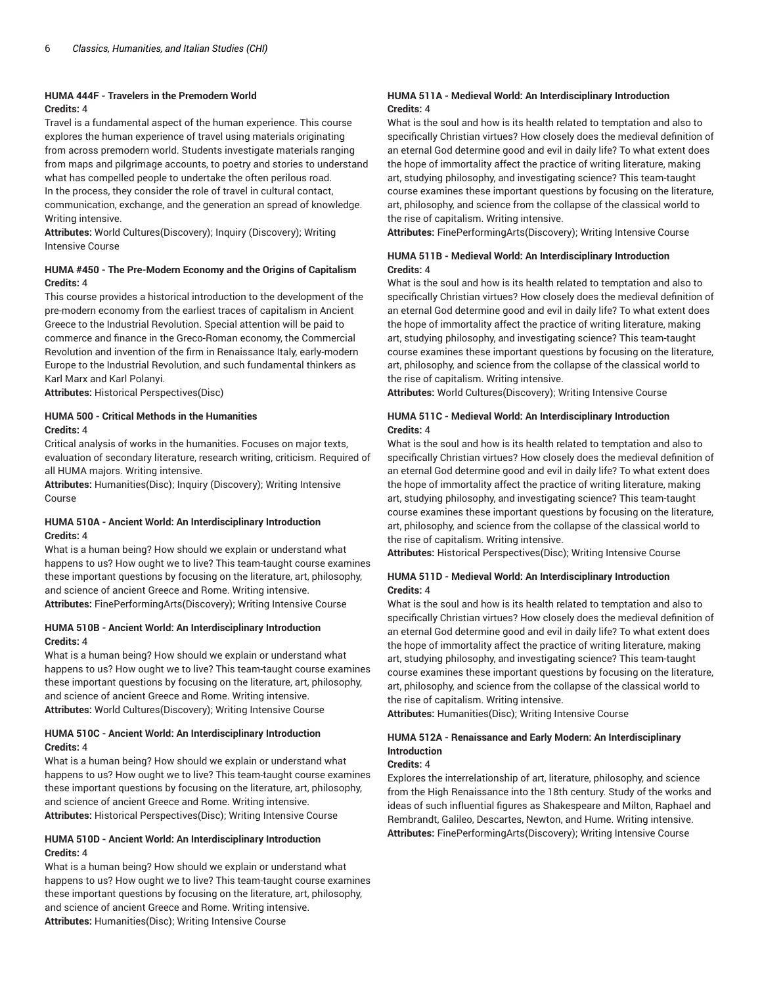#### **HUMA 444F - Travelers in the Premodern World Credits:** 4

Travel is a fundamental aspect of the human experience. This course explores the human experience of travel using materials originating from across premodern world. Students investigate materials ranging from maps and pilgrimage accounts, to poetry and stories to understand what has compelled people to undertake the often perilous road. In the process, they consider the role of travel in cultural contact, communication, exchange, and the generation an spread of knowledge. Writing intensive.

**Attributes:** World Cultures(Discovery); Inquiry (Discovery); Writing Intensive Course

# **HUMA #450 - The Pre-Modern Economy and the Origins of Capitalism Credits:** 4

This course provides a historical introduction to the development of the pre-modern economy from the earliest traces of capitalism in Ancient Greece to the Industrial Revolution. Special attention will be paid to commerce and finance in the Greco-Roman economy, the Commercial Revolution and invention of the firm in Renaissance Italy, early-modern Europe to the Industrial Revolution, and such fundamental thinkers as Karl Marx and Karl Polanyi.

**Attributes:** Historical Perspectives(Disc)

# **HUMA 500 - Critical Methods in the Humanities Credits:** 4

Critical analysis of works in the humanities. Focuses on major texts, evaluation of secondary literature, research writing, criticism. Required of all HUMA majors. Writing intensive.

**Attributes:** Humanities(Disc); Inquiry (Discovery); Writing Intensive Course

# **HUMA 510A - Ancient World: An Interdisciplinary Introduction Credits:** 4

What is a human being? How should we explain or understand what happens to us? How ought we to live? This team-taught course examines these important questions by focusing on the literature, art, philosophy, and science of ancient Greece and Rome. Writing intensive. **Attributes:** FinePerformingArts(Discovery); Writing Intensive Course

### **HUMA 510B - Ancient World: An Interdisciplinary Introduction Credits:** 4

What is a human being? How should we explain or understand what happens to us? How ought we to live? This team-taught course examines these important questions by focusing on the literature, art, philosophy, and science of ancient Greece and Rome. Writing intensive. **Attributes:** World Cultures(Discovery); Writing Intensive Course

### **HUMA 510C - Ancient World: An Interdisciplinary Introduction Credits:** 4

What is a human being? How should we explain or understand what happens to us? How ought we to live? This team-taught course examines these important questions by focusing on the literature, art, philosophy, and science of ancient Greece and Rome. Writing intensive. **Attributes:** Historical Perspectives(Disc); Writing Intensive Course

### **HUMA 510D - Ancient World: An Interdisciplinary Introduction Credits:** 4

What is a human being? How should we explain or understand what happens to us? How ought we to live? This team-taught course examines these important questions by focusing on the literature, art, philosophy, and science of ancient Greece and Rome. Writing intensive. **Attributes:** Humanities(Disc); Writing Intensive Course

# **HUMA 511A - Medieval World: An Interdisciplinary Introduction Credits:** 4

What is the soul and how is its health related to temptation and also to specifically Christian virtues? How closely does the medieval definition of an eternal God determine good and evil in daily life? To what extent does the hope of immortality affect the practice of writing literature, making art, studying philosophy, and investigating science? This team-taught course examines these important questions by focusing on the literature, art, philosophy, and science from the collapse of the classical world to the rise of capitalism. Writing intensive.

**Attributes:** FinePerformingArts(Discovery); Writing Intensive Course

# **HUMA 511B - Medieval World: An Interdisciplinary Introduction Credits:** 4

What is the soul and how is its health related to temptation and also to specifically Christian virtues? How closely does the medieval definition of an eternal God determine good and evil in daily life? To what extent does the hope of immortality affect the practice of writing literature, making art, studying philosophy, and investigating science? This team-taught course examines these important questions by focusing on the literature, art, philosophy, and science from the collapse of the classical world to the rise of capitalism. Writing intensive.

**Attributes:** World Cultures(Discovery); Writing Intensive Course

# **HUMA 511C - Medieval World: An Interdisciplinary Introduction Credits:** 4

What is the soul and how is its health related to temptation and also to specifically Christian virtues? How closely does the medieval definition of an eternal God determine good and evil in daily life? To what extent does the hope of immortality affect the practice of writing literature, making art, studying philosophy, and investigating science? This team-taught course examines these important questions by focusing on the literature, art, philosophy, and science from the collapse of the classical world to the rise of capitalism. Writing intensive.

**Attributes:** Historical Perspectives(Disc); Writing Intensive Course

# **HUMA 511D - Medieval World: An Interdisciplinary Introduction Credits:** 4

What is the soul and how is its health related to temptation and also to specifically Christian virtues? How closely does the medieval definition of an eternal God determine good and evil in daily life? To what extent does the hope of immortality affect the practice of writing literature, making art, studying philosophy, and investigating science? This team-taught course examines these important questions by focusing on the literature, art, philosophy, and science from the collapse of the classical world to the rise of capitalism. Writing intensive.

**Attributes:** Humanities(Disc); Writing Intensive Course

# **HUMA 512A - Renaissance and Early Modern: An Interdisciplinary Introduction**

#### **Credits:** 4

Explores the interrelationship of art, literature, philosophy, and science from the High Renaissance into the 18th century. Study of the works and ideas of such influential figures as Shakespeare and Milton, Raphael and Rembrandt, Galileo, Descartes, Newton, and Hume. Writing intensive. **Attributes:** FinePerformingArts(Discovery); Writing Intensive Course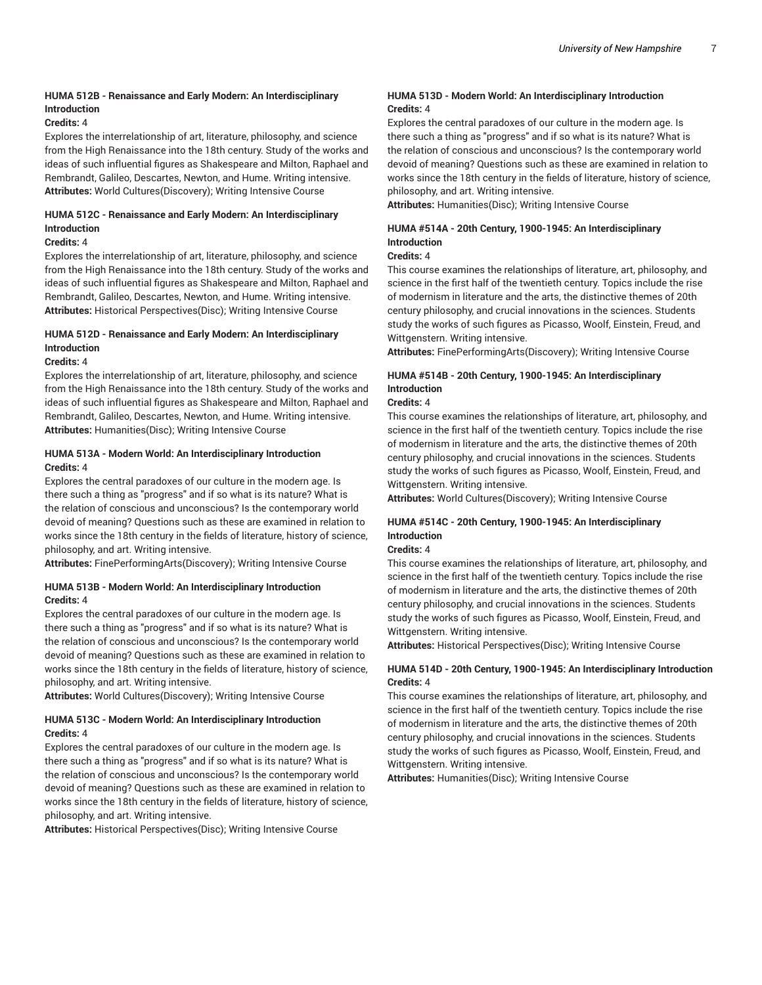# **HUMA 512B - Renaissance and Early Modern: An Interdisciplinary Introduction**

# **Credits:** 4

Explores the interrelationship of art, literature, philosophy, and science from the High Renaissance into the 18th century. Study of the works and ideas of such influential figures as Shakespeare and Milton, Raphael and Rembrandt, Galileo, Descartes, Newton, and Hume. Writing intensive. **Attributes:** World Cultures(Discovery); Writing Intensive Course

# **HUMA 512C - Renaissance and Early Modern: An Interdisciplinary Introduction**

#### **Credits:** 4

Explores the interrelationship of art, literature, philosophy, and science from the High Renaissance into the 18th century. Study of the works and ideas of such influential figures as Shakespeare and Milton, Raphael and Rembrandt, Galileo, Descartes, Newton, and Hume. Writing intensive. **Attributes:** Historical Perspectives(Disc); Writing Intensive Course

# **HUMA 512D - Renaissance and Early Modern: An Interdisciplinary Introduction**

#### **Credits:** 4

Explores the interrelationship of art, literature, philosophy, and science from the High Renaissance into the 18th century. Study of the works and ideas of such influential figures as Shakespeare and Milton, Raphael and Rembrandt, Galileo, Descartes, Newton, and Hume. Writing intensive. **Attributes:** Humanities(Disc); Writing Intensive Course

### **HUMA 513A - Modern World: An Interdisciplinary Introduction Credits:** 4

Explores the central paradoxes of our culture in the modern age. Is there such a thing as "progress" and if so what is its nature? What is the relation of conscious and unconscious? Is the contemporary world devoid of meaning? Questions such as these are examined in relation to works since the 18th century in the fields of literature, history of science, philosophy, and art. Writing intensive.

**Attributes:** FinePerformingArts(Discovery); Writing Intensive Course

### **HUMA 513B - Modern World: An Interdisciplinary Introduction Credits:** 4

Explores the central paradoxes of our culture in the modern age. Is there such a thing as "progress" and if so what is its nature? What is the relation of conscious and unconscious? Is the contemporary world devoid of meaning? Questions such as these are examined in relation to works since the 18th century in the fields of literature, history of science, philosophy, and art. Writing intensive.

**Attributes:** World Cultures(Discovery); Writing Intensive Course

# **HUMA 513C - Modern World: An Interdisciplinary Introduction Credits:** 4

Explores the central paradoxes of our culture in the modern age. Is there such a thing as "progress" and if so what is its nature? What is the relation of conscious and unconscious? Is the contemporary world devoid of meaning? Questions such as these are examined in relation to works since the 18th century in the fields of literature, history of science, philosophy, and art. Writing intensive.

**Attributes:** Historical Perspectives(Disc); Writing Intensive Course

### **HUMA 513D - Modern World: An Interdisciplinary Introduction Credits:** 4

Explores the central paradoxes of our culture in the modern age. Is there such a thing as "progress" and if so what is its nature? What is the relation of conscious and unconscious? Is the contemporary world devoid of meaning? Questions such as these are examined in relation to works since the 18th century in the fields of literature, history of science, philosophy, and art. Writing intensive.

**Attributes:** Humanities(Disc); Writing Intensive Course

# **HUMA #514A - 20th Century, 1900-1945: An Interdisciplinary Introduction**

#### **Credits:** 4

This course examines the relationships of literature, art, philosophy, and science in the first half of the twentieth century. Topics include the rise of modernism in literature and the arts, the distinctive themes of 20th century philosophy, and crucial innovations in the sciences. Students study the works of such figures as Picasso, Woolf, Einstein, Freud, and Wittgenstern. Writing intensive.

**Attributes:** FinePerformingArts(Discovery); Writing Intensive Course

# **HUMA #514B - 20th Century, 1900-1945: An Interdisciplinary Introduction**

# **Credits:** 4

This course examines the relationships of literature, art, philosophy, and science in the first half of the twentieth century. Topics include the rise of modernism in literature and the arts, the distinctive themes of 20th century philosophy, and crucial innovations in the sciences. Students study the works of such figures as Picasso, Woolf, Einstein, Freud, and Wittgenstern. Writing intensive.

**Attributes:** World Cultures(Discovery); Writing Intensive Course

# **HUMA #514C - 20th Century, 1900-1945: An Interdisciplinary Introduction**

# **Credits:** 4

This course examines the relationships of literature, art, philosophy, and science in the first half of the twentieth century. Topics include the rise of modernism in literature and the arts, the distinctive themes of 20th century philosophy, and crucial innovations in the sciences. Students study the works of such figures as Picasso, Woolf, Einstein, Freud, and Wittgenstern. Writing intensive.

**Attributes:** Historical Perspectives(Disc); Writing Intensive Course

### **HUMA 514D - 20th Century, 1900-1945: An Interdisciplinary Introduction Credits:** 4

This course examines the relationships of literature, art, philosophy, and science in the first half of the twentieth century. Topics include the rise of modernism in literature and the arts, the distinctive themes of 20th century philosophy, and crucial innovations in the sciences. Students study the works of such figures as Picasso, Woolf, Einstein, Freud, and Wittgenstern. Writing intensive.

**Attributes:** Humanities(Disc); Writing Intensive Course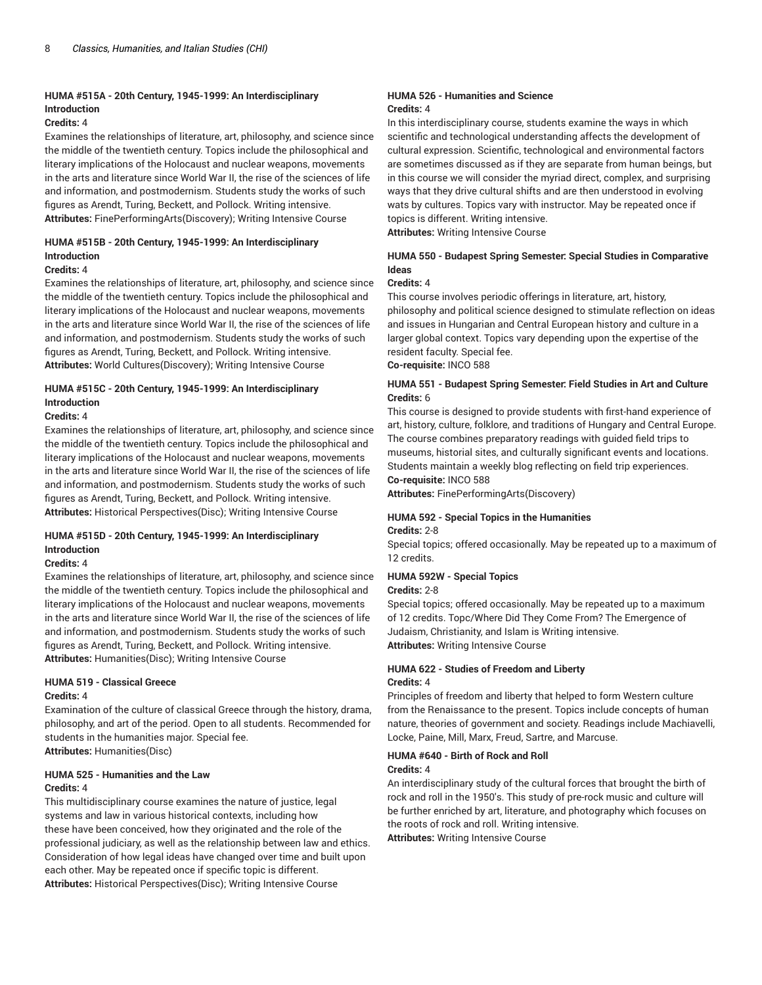# **HUMA #515A - 20th Century, 1945-1999: An Interdisciplinary Introduction**

#### **Credits:** 4

Examines the relationships of literature, art, philosophy, and science since the middle of the twentieth century. Topics include the philosophical and literary implications of the Holocaust and nuclear weapons, movements in the arts and literature since World War II, the rise of the sciences of life and information, and postmodernism. Students study the works of such figures as Arendt, Turing, Beckett, and Pollock. Writing intensive. **Attributes:** FinePerformingArts(Discovery); Writing Intensive Course

# **HUMA #515B - 20th Century, 1945-1999: An Interdisciplinary Introduction**

### **Credits:** 4

Examines the relationships of literature, art, philosophy, and science since the middle of the twentieth century. Topics include the philosophical and literary implications of the Holocaust and nuclear weapons, movements in the arts and literature since World War II, the rise of the sciences of life and information, and postmodernism. Students study the works of such figures as Arendt, Turing, Beckett, and Pollock. Writing intensive. **Attributes:** World Cultures(Discovery); Writing Intensive Course

# **HUMA #515C - 20th Century, 1945-1999: An Interdisciplinary Introduction**

#### **Credits:** 4

Examines the relationships of literature, art, philosophy, and science since the middle of the twentieth century. Topics include the philosophical and literary implications of the Holocaust and nuclear weapons, movements in the arts and literature since World War II, the rise of the sciences of life and information, and postmodernism. Students study the works of such figures as Arendt, Turing, Beckett, and Pollock. Writing intensive. **Attributes:** Historical Perspectives(Disc); Writing Intensive Course

# **HUMA #515D - 20th Century, 1945-1999: An Interdisciplinary Introduction**

#### **Credits:** 4

Examines the relationships of literature, art, philosophy, and science since the middle of the twentieth century. Topics include the philosophical and literary implications of the Holocaust and nuclear weapons, movements in the arts and literature since World War II, the rise of the sciences of life and information, and postmodernism. Students study the works of such figures as Arendt, Turing, Beckett, and Pollock. Writing intensive. **Attributes:** Humanities(Disc); Writing Intensive Course

#### **HUMA 519 - Classical Greece Credits:** 4

Examination of the culture of classical Greece through the history, drama, philosophy, and art of the period. Open to all students. Recommended for students in the humanities major. Special fee. **Attributes:** Humanities(Disc)

#### **HUMA 525 - Humanities and the Law Credits:** 4

This multidisciplinary course examines the nature of justice, legal systems and law in various historical contexts, including how these have been conceived, how they originated and the role of the professional judiciary, as well as the relationship between law and ethics. Consideration of how legal ideas have changed over time and built upon each other. May be repeated once if specific topic is different. **Attributes:** Historical Perspectives(Disc); Writing Intensive Course

#### **HUMA 526 - Humanities and Science Credits:** 4

In this interdisciplinary course, students examine the ways in which scientific and technological understanding affects the development of cultural expression. Scientific, technological and environmental factors are sometimes discussed as if they are separate from human beings, but in this course we will consider the myriad direct, complex, and surprising ways that they drive cultural shifts and are then understood in evolving wats by cultures. Topics vary with instructor. May be repeated once if topics is different. Writing intensive.

**Attributes:** Writing Intensive Course

# **HUMA 550 - Budapest Spring Semester: Special Studies in Comparative Ideas**

# **Credits:** 4

This course involves periodic offerings in literature, art, history, philosophy and political science designed to stimulate reflection on ideas and issues in Hungarian and Central European history and culture in a larger global context. Topics vary depending upon the expertise of the resident faculty. Special fee.

**Co-requisite:** INCO 588

# **HUMA 551 - Budapest Spring Semester: Field Studies in Art and Culture Credits:** 6

This course is designed to provide students with first-hand experience of art, history, culture, folklore, and traditions of Hungary and Central Europe. The course combines preparatory readings with guided field trips to museums, historial sites, and culturally significant events and locations. Students maintain a weekly blog reflecting on field trip experiences.

# **Co-requisite:** INCO 588

**Attributes:** FinePerformingArts(Discovery)

# **HUMA 592 - Special Topics in the Humanities**

#### **Credits:** 2-8

Special topics; offered occasionally. May be repeated up to a maximum of 12 credits.

# **HUMA 592W - Special Topics**

**Credits:** 2-8

Special topics; offered occasionally. May be repeated up to a maximum of 12 credits. Topc/Where Did They Come From? The Emergence of Judaism, Christianity, and Islam is Writing intensive. **Attributes:** Writing Intensive Course

# **HUMA 622 - Studies of Freedom and Liberty Credits:** 4

Principles of freedom and liberty that helped to form Western culture from the Renaissance to the present. Topics include concepts of human nature, theories of government and society. Readings include Machiavelli, Locke, Paine, Mill, Marx, Freud, Sartre, and Marcuse.

# **HUMA #640 - Birth of Rock and Roll**

# **Credits:** 4

An interdisciplinary study of the cultural forces that brought the birth of rock and roll in the 1950's. This study of pre-rock music and culture will be further enriched by art, literature, and photography which focuses on the roots of rock and roll. Writing intensive. **Attributes:** Writing Intensive Course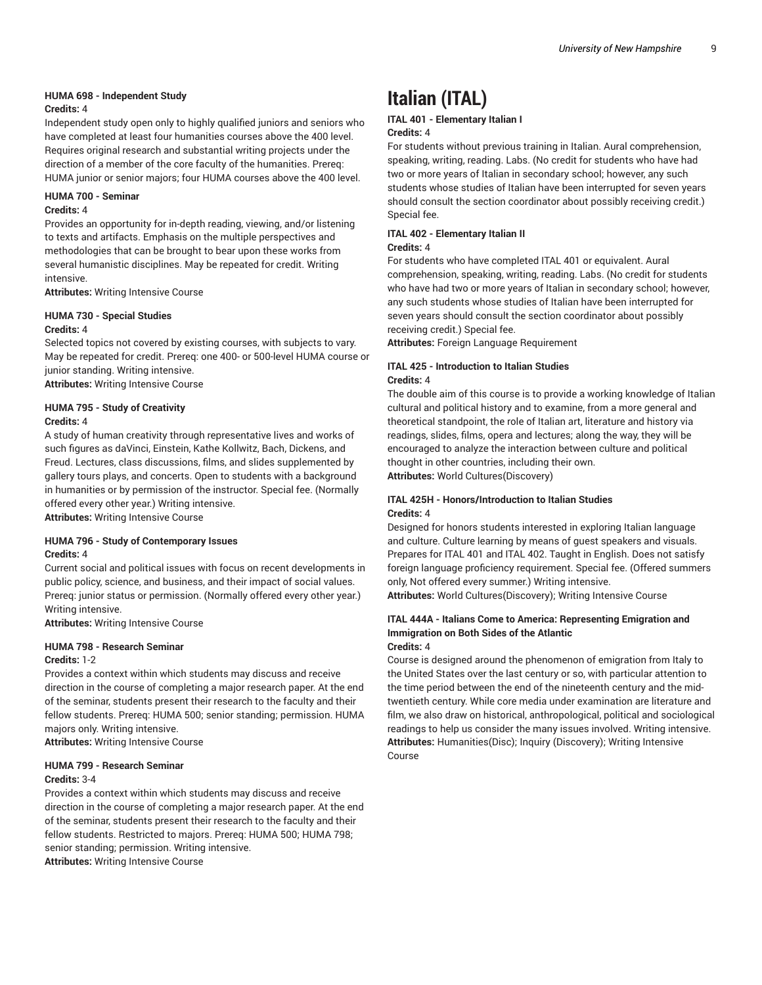#### **HUMA 698 - Independent Study**

#### **Credits:** 4

Independent study open only to highly qualified juniors and seniors who have completed at least four humanities courses above the 400 level. Requires original research and substantial writing projects under the direction of a member of the core faculty of the humanities. Prereq: HUMA junior or senior majors; four HUMA courses above the 400 level.

#### **HUMA 700 - Seminar**

#### **Credits:** 4

Provides an opportunity for in-depth reading, viewing, and/or listening to texts and artifacts. Emphasis on the multiple perspectives and methodologies that can be brought to bear upon these works from several humanistic disciplines. May be repeated for credit. Writing intensive.

**Attributes:** Writing Intensive Course

#### **HUMA 730 - Special Studies Credits:** 4

Selected topics not covered by existing courses, with subjects to vary. May be repeated for credit. Prereq: one 400- or 500-level HUMA course or junior standing. Writing intensive.

**Attributes:** Writing Intensive Course

#### **HUMA 795 - Study of Creativity Credits:** 4

A study of human creativity through representative lives and works of such figures as daVinci, Einstein, Kathe Kollwitz, Bach, Dickens, and Freud. Lectures, class discussions, films, and slides supplemented by gallery tours plays, and concerts. Open to students with a background in humanities or by permission of the instructor. Special fee. (Normally offered every other year.) Writing intensive.

**Attributes:** Writing Intensive Course

### **HUMA 796 - Study of Contemporary Issues Credits:** 4

Current social and political issues with focus on recent developments in public policy, science, and business, and their impact of social values. Prereq: junior status or permission. (Normally offered every other year.) Writing intensive.

**Attributes:** Writing Intensive Course

#### **HUMA 798 - Research Seminar**

#### **Credits:** 1-2

Provides a context within which students may discuss and receive direction in the course of completing a major research paper. At the end of the seminar, students present their research to the faculty and their fellow students. Prereq: HUMA 500; senior standing; permission. HUMA majors only. Writing intensive.

**Attributes:** Writing Intensive Course

#### **HUMA 799 - Research Seminar**

#### **Credits:** 3-4

Provides a context within which students may discuss and receive direction in the course of completing a major research paper. At the end of the seminar, students present their research to the faculty and their fellow students. Restricted to majors. Prereq: HUMA 500; HUMA 798; senior standing; permission. Writing intensive.

**Attributes:** Writing Intensive Course

# **Italian (ITAL)**

# **ITAL 401 - Elementary Italian I**

# **Credits:** 4

For students without previous training in Italian. Aural comprehension, speaking, writing, reading. Labs. (No credit for students who have had two or more years of Italian in secondary school; however, any such students whose studies of Italian have been interrupted for seven years should consult the section coordinator about possibly receiving credit.) Special fee.

# **ITAL 402 - Elementary Italian II**

#### **Credits:** 4

For students who have completed ITAL 401 or equivalent. Aural comprehension, speaking, writing, reading. Labs. (No credit for students who have had two or more years of Italian in secondary school; however, any such students whose studies of Italian have been interrupted for seven years should consult the section coordinator about possibly receiving credit.) Special fee.

**Attributes:** Foreign Language Requirement

#### **ITAL 425 - Introduction to Italian Studies Credits:** 4

The double aim of this course is to provide a working knowledge of Italian cultural and political history and to examine, from a more general and theoretical standpoint, the role of Italian art, literature and history via readings, slides, films, opera and lectures; along the way, they will be encouraged to analyze the interaction between culture and political thought in other countries, including their own. **Attributes:** World Cultures(Discovery)

**ITAL 425H - Honors/Introduction to Italian Studies**

**Credits:** 4

Designed for honors students interested in exploring Italian language and culture. Culture learning by means of guest speakers and visuals. Prepares for ITAL 401 and ITAL 402. Taught in English. Does not satisfy foreign language proficiency requirement. Special fee. (Offered summers only, Not offered every summer.) Writing intensive. **Attributes:** World Cultures(Discovery); Writing Intensive Course

#### **ITAL 444A - Italians Come to America: Representing Emigration and Immigration on Both Sides of the Atlantic Credits:** 4

Course is designed around the phenomenon of emigration from Italy to the United States over the last century or so, with particular attention to the time period between the end of the nineteenth century and the midtwentieth century. While core media under examination are literature and film, we also draw on historical, anthropological, political and sociological readings to help us consider the many issues involved. Writing intensive. **Attributes:** Humanities(Disc); Inquiry (Discovery); Writing Intensive Course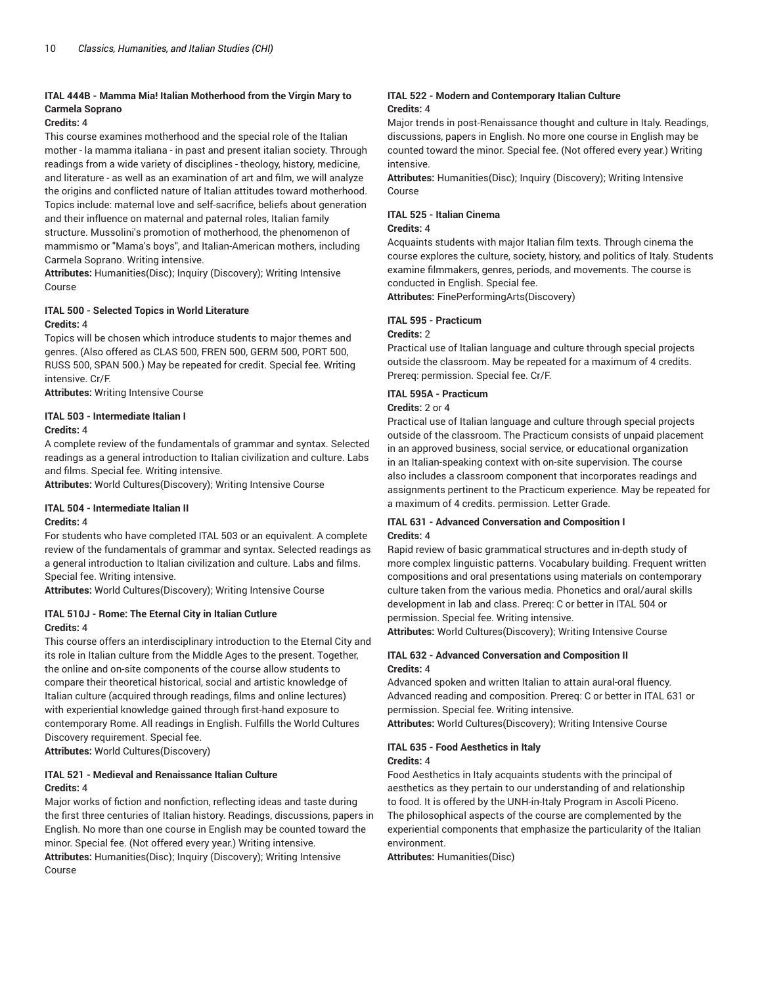# **ITAL 444B - Mamma Mia! Italian Motherhood from the Virgin Mary to Carmela Soprano**

#### **Credits:** 4

This course examines motherhood and the special role of the Italian mother - la mamma italiana - in past and present italian society. Through readings from a wide variety of disciplines - theology, history, medicine, and literature - as well as an examination of art and film, we will analyze the origins and conflicted nature of Italian attitudes toward motherhood. Topics include: maternal love and self-sacrifice, beliefs about generation and their influence on maternal and paternal roles, Italian family structure. Mussolini's promotion of motherhood, the phenomenon of mammismo or "Mama's boys", and Italian-American mothers, including Carmela Soprano. Writing intensive.

**Attributes:** Humanities(Disc); Inquiry (Discovery); Writing Intensive Course

# **ITAL 500 - Selected Topics in World Literature**

#### **Credits:** 4

Topics will be chosen which introduce students to major themes and genres. (Also offered as CLAS 500, FREN 500, GERM 500, PORT 500, RUSS 500, SPAN 500.) May be repeated for credit. Special fee. Writing intensive. Cr/F.

**Attributes:** Writing Intensive Course

#### **ITAL 503 - Intermediate Italian I Credits:** 4

A complete review of the fundamentals of grammar and syntax. Selected readings as a general introduction to Italian civilization and culture. Labs and films. Special fee. Writing intensive.

**Attributes:** World Cultures(Discovery); Writing Intensive Course

# **ITAL 504 - Intermediate Italian II**

#### **Credits:** 4

For students who have completed ITAL 503 or an equivalent. A complete review of the fundamentals of grammar and syntax. Selected readings as a general introduction to Italian civilization and culture. Labs and films. Special fee. Writing intensive.

**Attributes:** World Cultures(Discovery); Writing Intensive Course

# **ITAL 510J - Rome: The Eternal City in Italian Cutlure Credits:** 4

This course offers an interdisciplinary introduction to the Eternal City and its role in Italian culture from the Middle Ages to the present. Together, the online and on-site components of the course allow students to compare their theoretical historical, social and artistic knowledge of Italian culture (acquired through readings, films and online lectures) with experiential knowledge gained through first-hand exposure to contemporary Rome. All readings in English. Fulfills the World Cultures Discovery requirement. Special fee.

**Attributes:** World Cultures(Discovery)

#### **ITAL 521 - Medieval and Renaissance Italian Culture Credits:** 4

Major works of fiction and nonfiction, reflecting ideas and taste during the first three centuries of Italian history. Readings, discussions, papers in English. No more than one course in English may be counted toward the minor. Special fee. (Not offered every year.) Writing intensive. **Attributes:** Humanities(Disc); Inquiry (Discovery); Writing Intensive Course

### **ITAL 522 - Modern and Contemporary Italian Culture Credits:** 4

Major trends in post-Renaissance thought and culture in Italy. Readings, discussions, papers in English. No more one course in English may be counted toward the minor. Special fee. (Not offered every year.) Writing intensive.

**Attributes:** Humanities(Disc); Inquiry (Discovery); Writing Intensive Course

#### **ITAL 525 - Italian Cinema**

#### **Credits:** 4

Acquaints students with major Italian film texts. Through cinema the course explores the culture, society, history, and politics of Italy. Students examine filmmakers, genres, periods, and movements. The course is conducted in English. Special fee.

**Attributes:** FinePerformingArts(Discovery)

# **ITAL 595 - Practicum**

#### **Credits:** 2

Practical use of Italian language and culture through special projects outside the classroom. May be repeated for a maximum of 4 credits. Prereq: permission. Special fee. Cr/F.

### **ITAL 595A - Practicum**

#### **Credits:** 2 or 4

Practical use of Italian language and culture through special projects outside of the classroom. The Practicum consists of unpaid placement in an approved business, social service, or educational organization in an Italian-speaking context with on-site supervision. The course also includes a classroom component that incorporates readings and assignments pertinent to the Practicum experience. May be repeated for a maximum of 4 credits. permission. Letter Grade.

### **ITAL 631 - Advanced Conversation and Composition I Credits:** 4

Rapid review of basic grammatical structures and in-depth study of more complex linguistic patterns. Vocabulary building. Frequent written compositions and oral presentations using materials on contemporary culture taken from the various media. Phonetics and oral/aural skills development in lab and class. Prereq: C or better in ITAL 504 or permission. Special fee. Writing intensive.

**Attributes:** World Cultures(Discovery); Writing Intensive Course

### **ITAL 632 - Advanced Conversation and Composition II Credits:** 4

Advanced spoken and written Italian to attain aural-oral fluency. Advanced reading and composition. Prereq: C or better in ITAL 631 or permission. Special fee. Writing intensive.

**Attributes:** World Cultures(Discovery); Writing Intensive Course

# **ITAL 635 - Food Aesthetics in Italy**

#### **Credits:** 4

Food Aesthetics in Italy acquaints students with the principal of aesthetics as they pertain to our understanding of and relationship to food. It is offered by the UNH-in-Italy Program in Ascoli Piceno. The philosophical aspects of the course are complemented by the experiential components that emphasize the particularity of the Italian environment.

**Attributes:** Humanities(Disc)